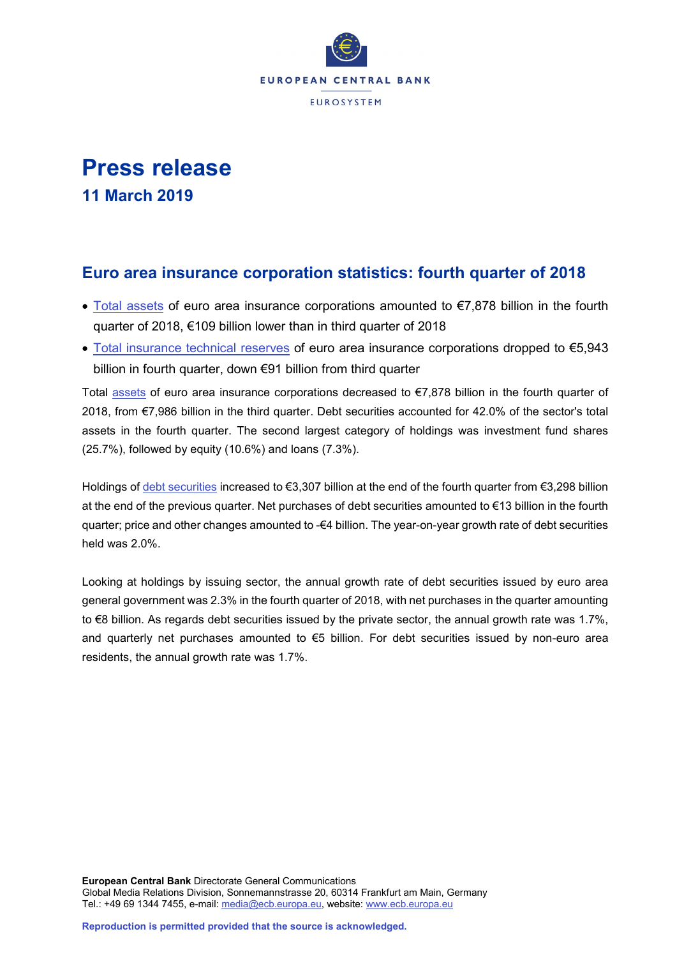

# **Press release**

**11 March 2019**

## **Euro area insurance corporation statistics: fourth quarter of 2018**

- [Total assets](https://sdw.ecb.europa.eu/quickview.do?SERIES_KEY=379.ICB.Q.U2.X.S128.T00.T.1.W0.S1._T.EUR) of euro area insurance corporations amounted to €7,878 billion in the fourth quarter of 2018, €109 billion lower than in third quarter of 2018
- [Total insurance technical reserves](https://sdw.ecb.europa.eu/quickview.do?SERIES_KEY=379.ICB.Q.U2.X.S128.L40.T.1.W0.S1._T.EUR) of euro area insurance corporations dropped to €5,943 billion in fourth quarter, down €91 billion from third quarter

Total [assets](https://sdw.ecb.europa.eu/browseSelection.do?type=series&q=ICB.Q.U2.X.S128.T00.T.1.W0.S1._T.EUR+ICB.Q.U2.X.S128.A30.T.1.W0.S1._T.EUR+ICB.Q.U2.X.S128.A30.T.4.W0.S1._T.EUR+ICB.Q.U2.X.S128.A30.T.Z.W0.S1._T.EUR&node=SEARCHRESULTS&ec=&oc=&rc=&cv=&pb=&dc=&df=) of euro area insurance corporations decreased to €7,878 billion in the fourth quarter of 2018, from €7,986 billion in the third quarter. Debt securities accounted for 42.0% of the sector's total assets in the fourth quarter. The second largest category of holdings was investment fund shares (25.7%), followed by equity (10.6%) and loans (7.3%).

Holdings of [debt securities](https://sdw.ecb.europa.eu/browseSelection.do?type=series&q=ICB.Q.U2.X.S128.A30.T.1.W0.S1._T.EUR+ICB.Q.U2.X.S128.A30.T.4.W0.S1._T.EUR+ICB.Q.U2.X.S128.A30.T.Z.W0.S1._T.EUR&node=SEARCHRESULTS&ec=&oc=&rc=&cv=&pb=&dc=&df=) increased to €3,307 billion at the end of the fourth quarter from €3,298 billion at the end of the previous quarter. Net purchases of debt securities amounted to €13 billion in the fourth quarter; price and other changes amounted to -€4 billion. The year-on-year growth rate of debt securities held was 2.0%.

Looking at holdings by issuing sector, the annual growth rate of debt securities issued by euro area general government was 2.3% in the fourth quarter of 2018, with net purchases in the quarter amounting to €8 billion. As regards debt securities issued by the private sector, the annual growth rate was 1.7%, and quarterly net purchases amounted to €5 billion. For debt securities issued by non-euro area residents, the annual growth rate was 1.7%.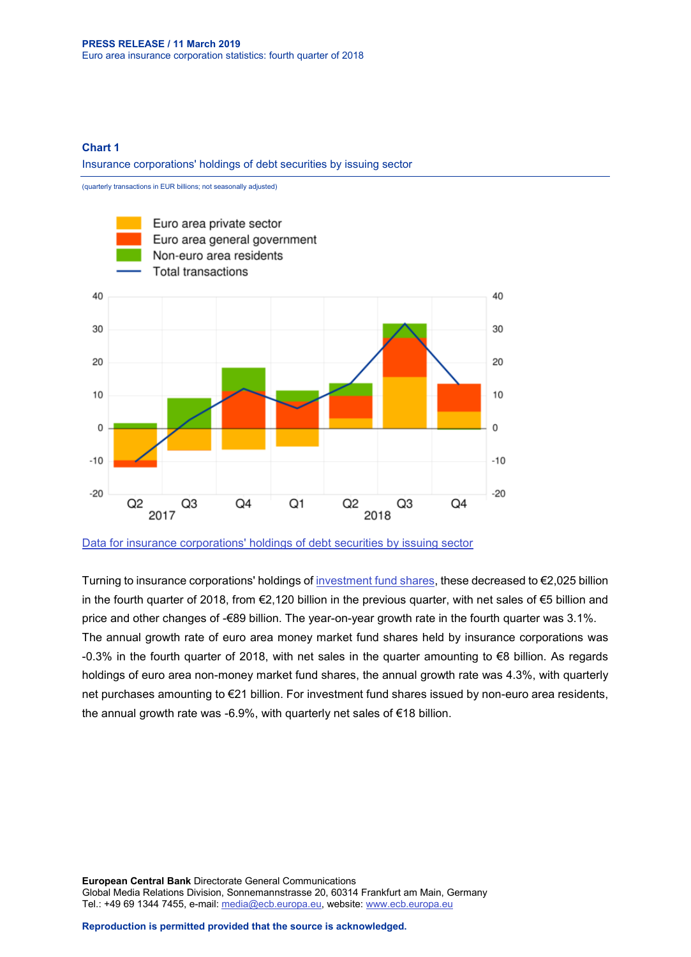#### **Chart 1**

Insurance corporations' holdings of debt securities by issuing sector

(quarterly transactions in EUR billions; not seasonally adjusted)



[Data for insurance corporations' holdings of debt securities by issuing sector](https://sdw.ecb.europa.eu/browseSelection.do?type=series&q=ICB.Q.U2.X.S128.A30.T.4.U2.S1._T.EUR%2c+ICB.Q.U2.X.S128.A30.T.4.U2.S13._T.EUR%2c+ICB.Q.U2.X.S128.A30.T.4.U4.S1._T.EUR%2c+ICB.Q.U2.X.S128.A30.T.4.W0.S1._T.EUR&node=SEARCHRESULTS&ec=&oc=&rc=&cv=&pb=&dc=&df=)

Turning to insurance corporations' holdings o[f investment fund shares,](https://sdw.ecb.europa.eu/browseSelection.do?type=series&q=ICB.Q.U2.X.S128.A60.T.1.W0.S1._T.EUR+ICB.Q.U2.X.S128.A60.T.4.W0.S1._T.EUR+ICB.Q.U2.X.S128.A60.T.Z.W0.S1._T.EUR&node=SEARCHRESULTS&ec=&oc=&rc=&cv=&pb=&dc=&df=) these decreased to €2,025 billion in the fourth quarter of 2018, from €2,120 billion in the previous quarter, with net sales of €5 billion and price and other changes of -€89 billion. The year-on-year growth rate in the fourth quarter was 3.1%. The annual growth rate of euro area money market fund shares held by insurance corporations was -0.3% in the fourth quarter of 2018, with net sales in the quarter amounting to €8 billion. As regards holdings of euro area non-money market fund shares, the annual growth rate was 4.3%, with quarterly net purchases amounting to €21 billion. For investment fund shares issued by non-euro area residents, the annual growth rate was -6.9%, with quarterly net sales of €18 billion.

**European Central Bank** Directorate General Communications Global Media Relations Division, Sonnemannstrasse 20, 60314 Frankfurt am Main, Germany Tel.: +49 69 1344 7455, e-mail: [media@ecb.europa.eu,](mailto:media@ecb.europa.eu) website[: www.ecb.europa.eu](http://www.ecb.europa.eu/)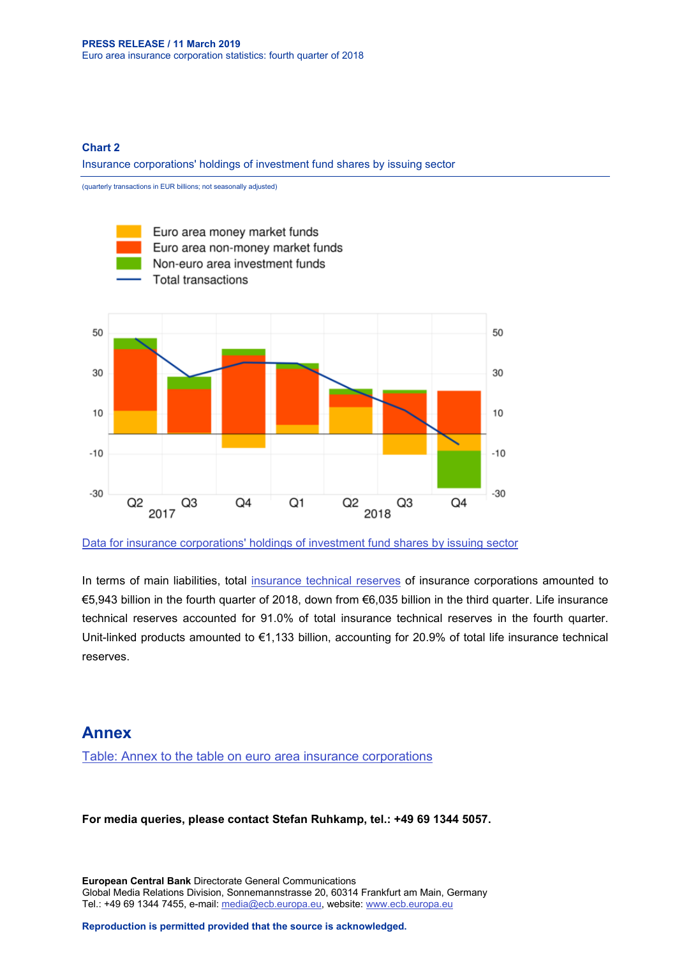#### **Chart 2**

Insurance corporations' holdings of investment fund shares by issuing sector

(quarterly transactions in EUR billions; not seasonally adjusted)



[Data for insurance corporations' holdings of investment fund shares by issuing sector](https://sdw.ecb.europa.eu/browseSelection.do?type=series&q=ICB.Q.U2.X.S128.A61.T.4.U2.S12K._T.EUR%2c+ICB.Q.U2.X.S128.A62.T.4.U2.S124._T.EUR%2c++ICB.Q.U2.X.S128.A60.T.4.U4.S1._T.EUR%2c+ICB.Q.U2.X.S128.A60.T.4.W0.S1._T.EUR&node=SEARCHRESULTS&ec=&oc=&rc=&cv=&pb=&dc=&df=)

In terms of main liabilities, total [insurance technical reserves](https://sdw.ecb.europa.eu/browseSelection.do?type=series&q=ICB.Q.U2.X.S128.L40.T.1.W0.S1._T.EUR+ICB.Q.U2.X.S128.L41.T.1.W0.S1._T.EUR++ICB.Q.U2.X.S128.L411.T.1.W0.S1._T.EUR+&node=SEARCHRESULTS&ec=&oc=&rc=&cv=&pb=&dc=&df=) of insurance corporations amounted to €5,943 billion in the fourth quarter of 2018, down from €6,035 billion in the third quarter. Life insurance technical reserves accounted for 91.0% of total insurance technical reserves in the fourth quarter. Unit-linked products amounted to €1,133 billion, accounting for 20.9% of total life insurance technical reserves.

### **Annex**

[Table: Annex to the table on euro area insurance corporations](http://sdw.ecb.europa.eu/web/generator/prl/pr_icb_0101_2018q4.pdf)

**For media queries, please contact Stefan Ruhkamp, tel.: +49 69 1344 5057.**

**European Central Bank** Directorate General Communications Global Media Relations Division, Sonnemannstrasse 20, 60314 Frankfurt am Main, Germany Tel.: +49 69 1344 7455, e-mail: [media@ecb.europa.eu,](mailto:media@ecb.europa.eu) website[: www.ecb.europa.eu](http://www.ecb.europa.eu/)